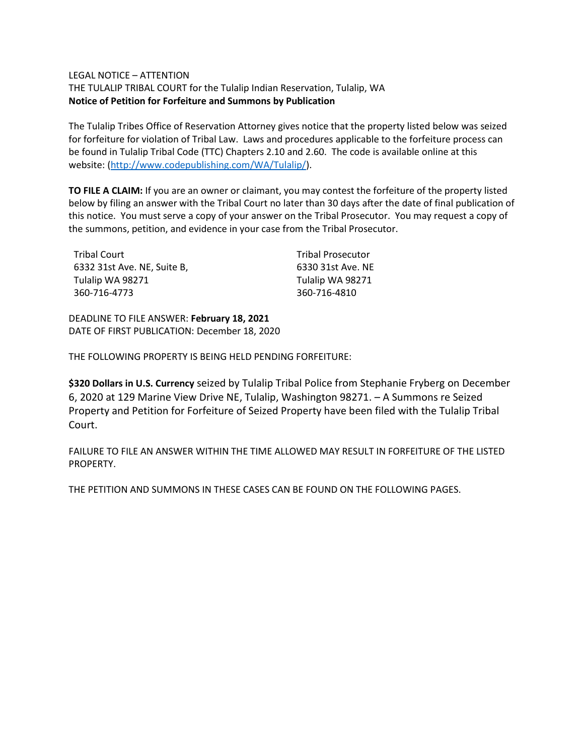## LEGAL NOTICE – ATTENTION

THE TULALIP TRIBAL COURT for the Tulalip Indian Reservation, Tulalip, WA **Notice of Petition for Forfeiture and Summons by Publication**

The Tulalip Tribes Office of Reservation Attorney gives notice that the property listed below was seized for forfeiture for violation of Tribal Law. Laws and procedures applicable to the forfeiture process can be found in Tulalip Tribal Code (TTC) Chapters 2.10 and 2.60. The code is available online at this website: [\(http://www.codepublishing.com/WA/Tulalip/\)](http://www.codepublishing.com/WA/Tulalip/).

**TO FILE A CLAIM:** If you are an owner or claimant, you may contest the forfeiture of the property listed below by filing an answer with the Tribal Court no later than 30 days after the date of final publication of this notice. You must serve a copy of your answer on the Tribal Prosecutor. You may request a copy of the summons, petition, and evidence in your case from the Tribal Prosecutor.

| Tribal Court                | <b>Tribal Prosecutor</b> |
|-----------------------------|--------------------------|
| 6332 31st Ave. NE, Suite B, | 6330 31st Ave. NE        |
| Tulalip WA 98271            | Tulalip WA 98271         |
| 360-716-4773                | 360-716-4810             |

DEADLINE TO FILE ANSWER: **February 18, 2021** DATE OF FIRST PUBLICATION: December 18, 2020

THE FOLLOWING PROPERTY IS BEING HELD PENDING FORFEITURE:

**\$320 Dollars in U.S. Currency** seized by Tulalip Tribal Police from Stephanie Fryberg on December 6, 2020 at 129 Marine View Drive NE, Tulalip, Washington 98271. – A Summons re Seized Property and Petition for Forfeiture of Seized Property have been filed with the Tulalip Tribal Court.

FAILURE TO FILE AN ANSWER WITHIN THE TIME ALLOWED MAY RESULT IN FORFEITURE OF THE LISTED PROPERTY.

THE PETITION AND SUMMONS IN THESE CASES CAN BE FOUND ON THE FOLLOWING PAGES.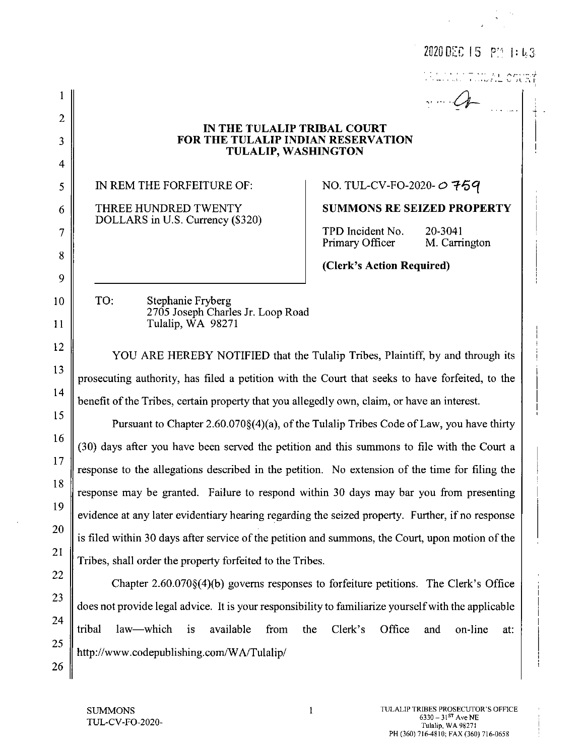|                                                                                                         | 11 Personal County                                                                                                                                                                                                                                                                                                                                                                                                                                                                                                                                                                    |  |
|---------------------------------------------------------------------------------------------------------|---------------------------------------------------------------------------------------------------------------------------------------------------------------------------------------------------------------------------------------------------------------------------------------------------------------------------------------------------------------------------------------------------------------------------------------------------------------------------------------------------------------------------------------------------------------------------------------|--|
|                                                                                                         | $\sim$ $Q$                                                                                                                                                                                                                                                                                                                                                                                                                                                                                                                                                                            |  |
|                                                                                                         |                                                                                                                                                                                                                                                                                                                                                                                                                                                                                                                                                                                       |  |
| <b>FOR THE TULALIP INDIAN RESERVATION</b>                                                               |                                                                                                                                                                                                                                                                                                                                                                                                                                                                                                                                                                                       |  |
|                                                                                                         |                                                                                                                                                                                                                                                                                                                                                                                                                                                                                                                                                                                       |  |
| IN REM THE FORFEITURE OF:                                                                               | NO. TUL-CV-FO-2020- 0759                                                                                                                                                                                                                                                                                                                                                                                                                                                                                                                                                              |  |
| THREE HUNDRED TWENTY                                                                                    | <b>SUMMONS RE SEIZED PROPERTY</b>                                                                                                                                                                                                                                                                                                                                                                                                                                                                                                                                                     |  |
|                                                                                                         | TPD Incident No.<br>20-3041                                                                                                                                                                                                                                                                                                                                                                                                                                                                                                                                                           |  |
|                                                                                                         | Primary Officer<br>M. Carrington                                                                                                                                                                                                                                                                                                                                                                                                                                                                                                                                                      |  |
|                                                                                                         | (Clerk's Action Required)                                                                                                                                                                                                                                                                                                                                                                                                                                                                                                                                                             |  |
| TO:                                                                                                     |                                                                                                                                                                                                                                                                                                                                                                                                                                                                                                                                                                                       |  |
| 2705 Joseph Charles Jr. Loop Road                                                                       |                                                                                                                                                                                                                                                                                                                                                                                                                                                                                                                                                                                       |  |
|                                                                                                         |                                                                                                                                                                                                                                                                                                                                                                                                                                                                                                                                                                                       |  |
| 12<br>YOU ARE HEREBY NOTIFIED that the Tulalip Tribes, Plaintiff, by and through its<br>13              |                                                                                                                                                                                                                                                                                                                                                                                                                                                                                                                                                                                       |  |
| prosecuting authority, has filed a petition with the Court that seeks to have forfeited, to the         |                                                                                                                                                                                                                                                                                                                                                                                                                                                                                                                                                                                       |  |
| 14<br>benefit of the Tribes, certain property that you allegedly own, claim, or have an interest.<br>15 |                                                                                                                                                                                                                                                                                                                                                                                                                                                                                                                                                                                       |  |
|                                                                                                         | Pursuant to Chapter 2.60.070§(4)(a), of the Tulalip Tribes Code of Law, you have thirty                                                                                                                                                                                                                                                                                                                                                                                                                                                                                               |  |
| (30) days after you have been served the petition and this summons to file with the Court a             |                                                                                                                                                                                                                                                                                                                                                                                                                                                                                                                                                                                       |  |
| response to the allegations described in the petition. No extension of the time for filing the          |                                                                                                                                                                                                                                                                                                                                                                                                                                                                                                                                                                                       |  |
| response may be granted. Failure to respond within 30 days may bar you from presenting                  |                                                                                                                                                                                                                                                                                                                                                                                                                                                                                                                                                                                       |  |
| evidence at any later evidentiary hearing regarding the seized property. Further, if no response        |                                                                                                                                                                                                                                                                                                                                                                                                                                                                                                                                                                                       |  |
|                                                                                                         |                                                                                                                                                                                                                                                                                                                                                                                                                                                                                                                                                                                       |  |
|                                                                                                         |                                                                                                                                                                                                                                                                                                                                                                                                                                                                                                                                                                                       |  |
|                                                                                                         |                                                                                                                                                                                                                                                                                                                                                                                                                                                                                                                                                                                       |  |
|                                                                                                         |                                                                                                                                                                                                                                                                                                                                                                                                                                                                                                                                                                                       |  |
|                                                                                                         | the<br>Clerk's<br>Office<br>on-line<br>and<br>at:                                                                                                                                                                                                                                                                                                                                                                                                                                                                                                                                     |  |
| http://www.codepublishing.com/WA/Tulalip/                                                               |                                                                                                                                                                                                                                                                                                                                                                                                                                                                                                                                                                                       |  |
|                                                                                                         | IN THE TULALIP TRIBAL COURT<br><b>TULALIP, WASHINGTON</b><br>DOLLARS in U.S. Currency (\$320)<br>Stephanie Fryberg<br>Tulalip, WA 98271<br>is filed within 30 days after service of the petition and summons, the Court, upon motion of the<br>Tribes, shall order the property forfeited to the Tribes.<br>Chapter $2.60.070\$ (4)(b) governs responses to forfeiture petitions. The Clerk's Office<br>does not provide legal advice. It is your responsibility to familiarize yourself with the applicable<br>law—which<br>available<br>from<br>tribal<br>$\overline{\mathbf{1}}$ s |  |

 $\frac{26}{ }$ 

 $\label{eq:2} \begin{split} \mathcal{L}_{\text{max}}(\mathbf{y}) &= \frac{1}{2} \sum_{i=1}^{N} \mathcal{H}_i \\ \mathcal{L}_{\text{max}}(\mathbf{y}) &= \frac{1}{2} \sum_{i=1}^{N} \mathcal{H}_i \\ \mathcal{L}_{\text{max}}(\mathbf{y}) &= \frac{1}{2} \sum_{i=1}^{N} \mathcal{H}_i \\ \mathcal{L}_{\text{max}}(\mathbf{y}) &= \frac{1}{2} \sum_{i=1}^{N} \mathcal{H}_i \\ \mathcal{L}_{\text{max}}(\mathbf{y}) &= \frac{1}{2} \sum_{i=1}^{N} \$ 

2020 DEC 15 PM 1:43

 $\mathbf{1}$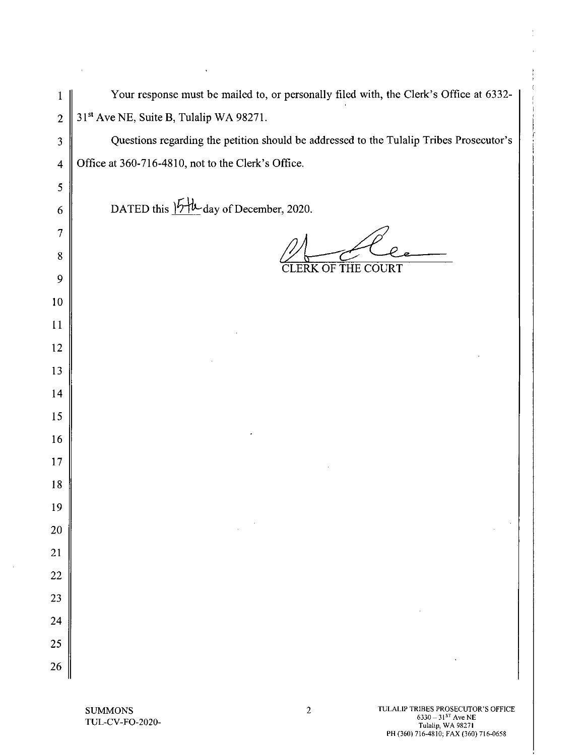|                | Your response must be mailed to, or personally filed with, the Clerk's Office at 6332-  |
|----------------|-----------------------------------------------------------------------------------------|
| $\overline{2}$ | 31 <sup>st</sup> Ave NE, Suite B, Tulalip WA 98271.                                     |
| 3              | Questions regarding the petition should be addressed to the Tulalip Tribes Prosecutor's |
| $\overline{4}$ | Office at 360-716-4810, not to the Clerk's Office.                                      |
| $\mathfrak{S}$ |                                                                                         |
| 6              | DATED this $15\frac{1}{2}$ day of December, 2020.                                       |
| 7              |                                                                                         |
| 8              |                                                                                         |
| 9              | <b>CLERK OF THE COURT</b>                                                               |
| 10             |                                                                                         |
| 11             |                                                                                         |
| 12             |                                                                                         |
| 13             |                                                                                         |
| 14             |                                                                                         |
| 15             |                                                                                         |
| 16             |                                                                                         |
| 17             |                                                                                         |
| 18             |                                                                                         |
| 19             |                                                                                         |
| <b>20</b>      |                                                                                         |
| 21             |                                                                                         |
| 22             |                                                                                         |
| 23             |                                                                                         |
| 24             |                                                                                         |
| 25             |                                                                                         |
| 26             |                                                                                         |

 $\sim$   $\sim$ 

 $\sim$ 

 $\mathcal{A}^{\pm}$ 

þ,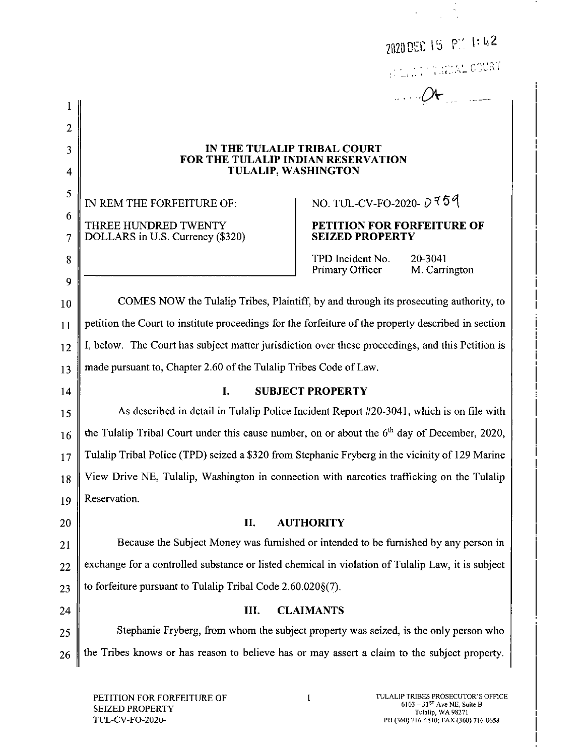2020 DEC 15 PM 1:42

**INTERNATIONAL COURT** 

 $\mathcal{A}$ 

## IN THE TULALIP TRIBAL COURT FOR THE TULALIP INDIAN RESERVATION **TULALIP, WASHINGTON**

IN REM THE FORFEITURE OF: THREE HUNDRED TWENTY DOLLARS in U.S. Currency (\$320)

 $\mathbf{1}$ 

 $\overline{2}$ 

 $\overline{\mathbf{3}}$ 

 $\overline{4}$ 

5

6

 $\overline{7}$ 

8

9

10

11

12

13

 $14$ 

NO. TUL-CV-FO-2020- $\ddot{\nu}$  759

## PETITION FOR FORFEITURE OF **SEIZED PROPERTY**

TPD Incident No. 20-3041 Primary Officer M. Carrington

COMES NOW the Tulalip Tribes, Plaintiff, by and through its prosecuting authority, to petition the Court to institute proceedings for the forfeiture of the property described in section I, below. The Court has subject matter jurisdiction over these proceedings, and this Petition is made pursuant to, Chapter 2.60 of the Tulalip Tribes Code of Law.

**SUBJECT PROPERTY** 

As described in detail in Tulalip Police Incident Report #20-3041, which is on file with 15 the Tulalip Tribal Court under this cause number, on or about the 6<sup>th</sup> day of December, 2020, 16 Tulalip Tribal Police (TPD) seized a \$320 from Stephanie Fryberg in the vicinity of 129 Marine  $17$ View Drive NE, Tulalip, Washington in connection with narcotics trafficking on the Tulalip 18 Reservation. 19

I.

## II. **AUTHORITY** 20 Because the Subject Money was furnished or intended to be furnished by any person in 21 exchange for a controlled substance or listed chemical in violation of Tulalip Law, it is subject 22 to forfeiture pursuant to Tulalip Tribal Code  $2.60.020\$  $(7)$ . 23

24 Ш. **CLAIMANTS** Stephanie Fryberg, from whom the subject property was seized, is the only person who 25 the Tribes knows or has reason to believe has or may assert a claim to the subject property. 26

 $\mathbf{I}$